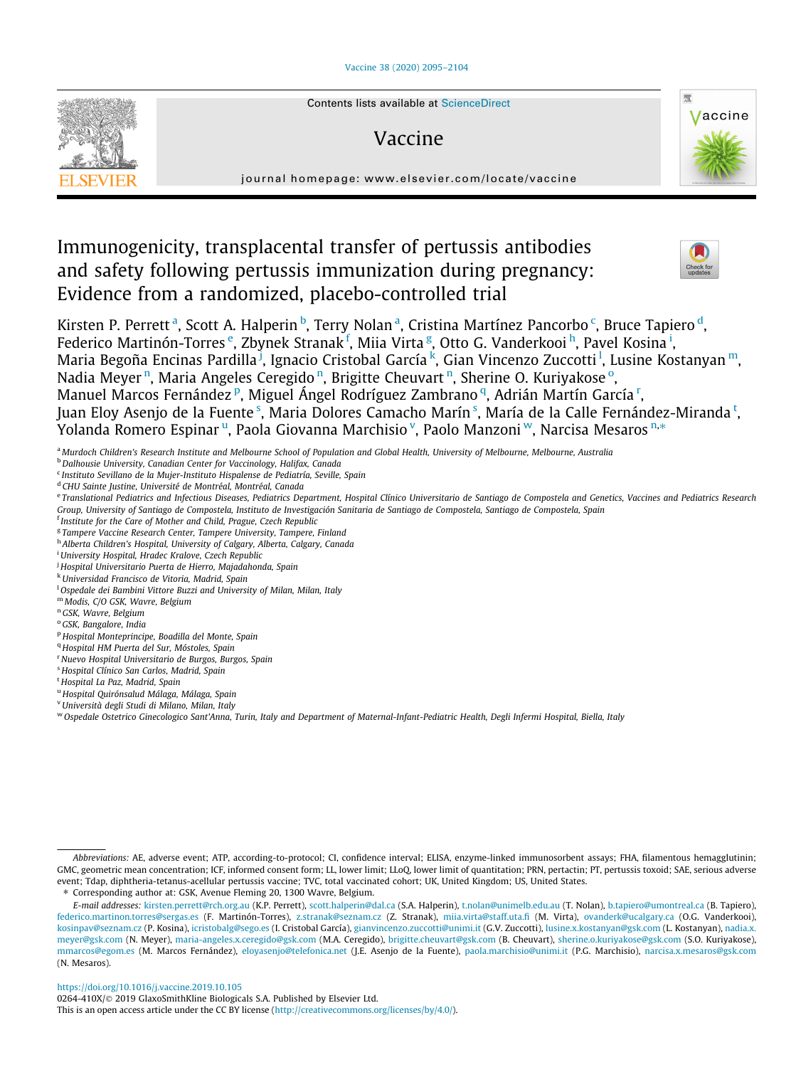# [Vaccine 38 \(2020\) 2095–2104](https://doi.org/10.1016/j.vaccine.2019.10.105)



# Vaccine



journal homepage: [www.elsevier.com/locate/vaccine](http://www.elsevier.com/locate/vaccine)

# Immunogenicity, transplacental transfer of pertussis antibodies and safety following pertussis immunization during pregnancy: Evidence from a randomized, placebo-controlled trial



Kirsten P. Perrett<sup>a</sup>, Scott A. Halperin <sup>b</sup>, Terry Nolan <sup>a</sup>, Cristina Martínez Pancorbo <sup>c</sup>, Bruce Tapiero <sup>d</sup>, Federico Martinón-Torres <sup>e</sup>, Zbynek Stranak <sup>f</sup>, Miia Virta <sup>g</sup>, Otto G. Vanderkooi <sup>h</sup>, Pavel Kosina <sup>i</sup>, Maria Begoña Encinas Pardilla <sup>j</sup>, Ignacio Cristobal García <sup>k</sup>, Gian Vincenzo Zuccotti <sup>l</sup>, Lusine Kostanyan <sup>m</sup>, Nadia Meyer<sup>n</sup>, Maria Angeles Ceregido<sup>n</sup>, Brigitte Cheuvart<sup>n</sup>, Sherine O. Kuriyakose<sup>o</sup>, Manuel Marcos Fernández <sup>p</sup>, Miguel Ángel Rodríguez Zambrano <sup>q</sup>, Adrián Martín García <sup>r</sup>, Juan Eloy Asenjo de la Fuente <sup>s</sup>, Maria Dolores Camacho Marín <sup>s</sup>, María de la Calle Fernández-Miranda <sup>t</sup>, Yolanda Romero Espinar <del>"</del>, Paola Giovanna Marchisio <sup>v</sup>, Paolo Manzoni <sup>w</sup>, Narcisa Mesaros <del>",</del>\*

a Murdoch Children's Research Institute and Melbourne School of Population and Global Health, University of Melbourne, Melbourne, Australia

<sup>b</sup> Dalhousie University, Canadian Center for Vaccinology, Halifax, Canada

<sup>c</sup> Instituto Sevillano de la Mujer-Instituto Hispalense de Pediatría, Seville, Spain

- <sup>d</sup> CHU Sainte Justine, Université de Montréal, Montréal, Canada
- e Translational Pediatrics and Infectious Diseases, Pediatrics Department, Hospital Clínico Universitario de Santiago de Compostela and Genetics, Vaccines and Pediatrics Research Group, University of Santiago de Compostela, Instituto de Investigación Sanitaria de Santiago de Compostela, Santiago de Compostela, Spain
- <sup>f</sup> Institute for the Care of Mother and Child, Prague, Czech Republic

<sup>g</sup> Tampere Vaccine Research Center, Tampere University, Tampere, Finland

h Alberta Children's Hospital, University of Calgary, Alberta, Calgary, Canada

<sup>i</sup> University Hospital, Hradec Kralove, Czech Republic

<sup>i</sup> Hospital Universitario Puerta de Hierro, Majadahonda, Spain

- <sup>k</sup>Universidad Francisco de Vitoria, Madrid, Spain
- $^{\rm l}$ Ospedale dei Bambini Vittore Buzzi and University of Milan, Milan, Italy
- <sup>m</sup> Modis, C/O GSK, Wavre, Belgium
- <sup>n</sup> GSK, Wavre, Belgium
- <sup>o</sup> GSK, Bangalore, India
- <sup>p</sup> Hospital Monteprincipe, Boadilla del Monte, Spain
- <sup>q</sup> Hospital HM Puerta del Sur, Móstoles, Spain
- <sup>r</sup> Nuevo Hospital Universitario de Burgos, Burgos, Spain
- <sup>s</sup> Hospital Clínico San Carlos, Madrid, Spain
- <sup>t</sup> Hospital La Paz, Madrid, Spain
- <sup>u</sup> Hospital Quirónsalud Málaga, Málaga, Spain
- <sup>v</sup>Università degli Studi di Milano, Milan, Italy

<sup>w</sup> Ospedale Ostetrico Ginecologico Sant'Anna, Turin, Italy and Department of Maternal-Infant-Pediatric Health, Degli Infermi Hospital, Biella, Italy

⇑ Corresponding author at: GSK, Avenue Fleming 20, 1300 Wavre, Belgium.

Abbreviations: AE, adverse event; ATP, according-to-protocol; CI, confidence interval; ELISA, enzyme-linked immunosorbent assays; FHA, filamentous hemagglutinin; GMC, geometric mean concentration; ICF, informed consent form; LL, lower limit; LLoQ, lower limit of quantitation; PRN, pertactin; PT, pertussis toxoid; SAE, serious adverse event; Tdap, diphtheria-tetanus-acellular pertussis vaccine; TVC, total vaccinated cohort; UK, United Kingdom; US, United States.

E-mail addresses: [kirsten.perrett@rch.org.au](mailto:kirsten.perrett@rch.org.au) (K.P. Perrett), [scott.halperin@dal.ca](mailto:scott.halperin@dal.ca) (S.A. Halperin), [t.nolan@unimelb.edu.au](mailto:t.nolan@unimelb.edu.au) (T. Nolan), [b.tapiero@umontreal.ca](mailto:b.tapiero@umontreal.ca) (B. Tapiero), [federico.martinon.torres@sergas.es](mailto:federico.martinon.torres@sergas.es) (F. Martinón-Torres), [z.stranak@seznam.cz](mailto:z.stranak@seznam.cz) (Z. Stranak), [miia.virta@staff.uta.fi](mailto:miia.virta@staff.uta.fi) (M. Virta), [ovanderk@ucalgary.ca](mailto:ovanderk@ucalgary.ca) (O.G. Vanderkooi), [kosinpav@seznam.cz](mailto:kosinpav@seznam.cz) (P. Kosina), [icristobalg@sego.es](mailto:icristobalg@sego.es) (I. Cristobal García), [gianvincenzo.zuccotti@unimi.it](mailto:gianvincenzo.zuccotti@unimi.it) (G.V. Zuccotti), [lusine.x.kostanyan@gsk.com](mailto:lusine.x.kostanyan@gsk.com) (L. Kostanyan), [nadia.x.](mailto:nadia.x.meyer@gsk.com) [meyer@gsk.com](mailto:nadia.x.meyer@gsk.com) (N. Meyer), [maria-angeles.x.ceregido@gsk.com](mailto:maria-angeles.x.ceregido@gsk.com) (M.A. Ceregido), [brigitte.cheuvart@gsk.com](mailto:brigitte.cheuvart@gsk.com) (B. Cheuvart), [sherine.o.kuriyakose@gsk.com](mailto:sherine.o.kuriyakose@gsk.com) (S.O. Kuriyakose), [mmarcos@egom.es](mailto:mmarcos@egom.es) (M. Marcos Fernández), [eloyasenjo@telefonica.net](mailto:eloyasenjo@telefonica.net) (J.E. Asenjo de la Fuente), [paola.marchisio@unimi.it](mailto:paola.marchisio@unimi.it) (P.G. Marchisio), [narcisa.x.mesaros@gsk.com](mailto:narcisa.x.mesaros@gsk.com) (N. Mesaros).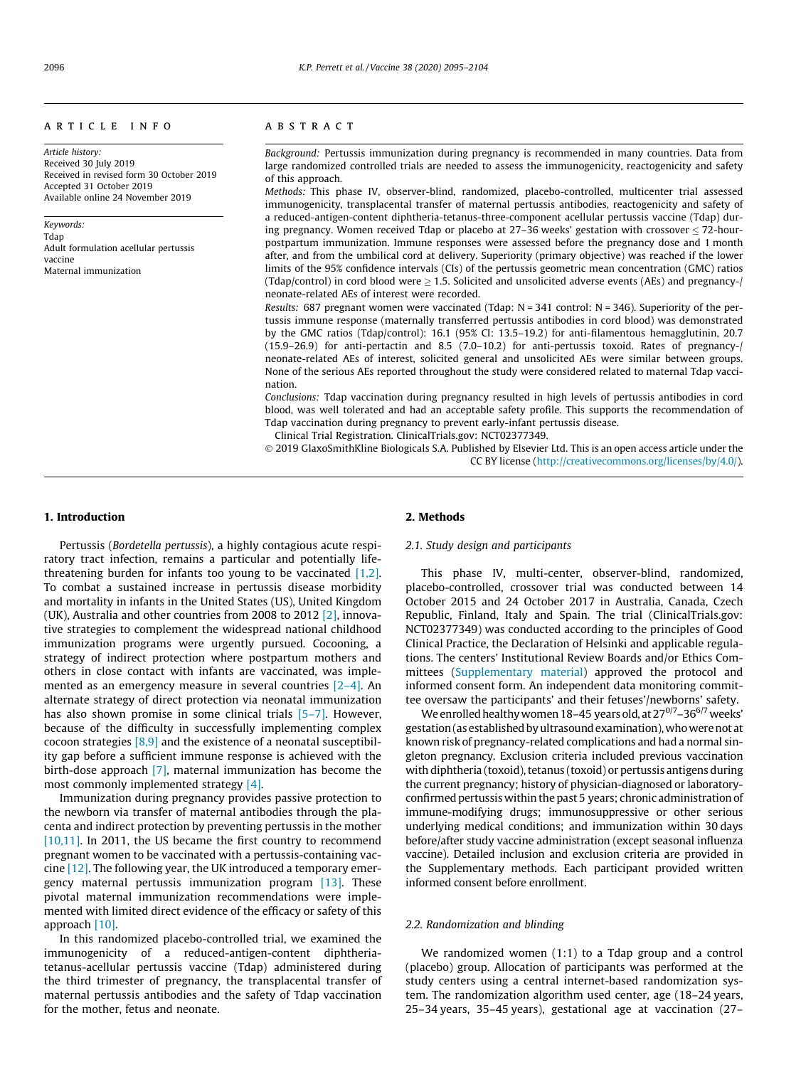Keywords:

Article history: Received 30 July 2019 Received in revised form 30 October 2019 Accepted 31 October 2019 Available online 24 November 2019

Tdap Adult formulation acellular pertussis vaccine Maternal immunization

## **ABSTRACT**

Background: Pertussis immunization during pregnancy is recommended in many countries. Data from large randomized controlled trials are needed to assess the immunogenicity, reactogenicity and safety of this approach.

Methods: This phase IV, observer-blind, randomized, placebo-controlled, multicenter trial assessed immunogenicity, transplacental transfer of maternal pertussis antibodies, reactogenicity and safety of a reduced-antigen-content diphtheria-tetanus-three-component acellular pertussis vaccine (Tdap) during pregnancy. Women received Tdap or placebo at 27–36 weeks' gestation with crossover  $\leq$  72-hourpostpartum immunization. Immune responses were assessed before the pregnancy dose and 1 month after, and from the umbilical cord at delivery. Superiority (primary objective) was reached if the lower limits of the 95% confidence intervals (CIs) of the pertussis geometric mean concentration (GMC) ratios (Tdap/control) in cord blood were  $\geq$  1.5. Solicited and unsolicited adverse events (AEs) and pregnancy-/ neonate-related AEs of interest were recorded.

Results: 687 pregnant women were vaccinated (Tdap:  $N = 341$  control:  $N = 346$ ). Superiority of the pertussis immune response (maternally transferred pertussis antibodies in cord blood) was demonstrated by the GMC ratios (Tdap/control): 16.1 (95% CI: 13.5–19.2) for anti-filamentous hemagglutinin, 20.7 (15.9–26.9) for anti-pertactin and 8.5 (7.0–10.2) for anti-pertussis toxoid. Rates of pregnancy-/ neonate-related AEs of interest, solicited general and unsolicited AEs were similar between groups. None of the serious AEs reported throughout the study were considered related to maternal Tdap vaccination.

Conclusions: Tdap vaccination during pregnancy resulted in high levels of pertussis antibodies in cord blood, was well tolerated and had an acceptable safety profile. This supports the recommendation of Tdap vaccination during pregnancy to prevent early-infant pertussis disease.

Clinical Trial Registration. ClinicalTrials.gov: NCT02377349.

 2019 GlaxoSmithKline Biologicals S.A. Published by Elsevier Ltd. This is an open access article under the CC BY license [\(http://creativecommons.org/licenses/by/4.0/](http://creativecommons.org/licenses/by/4.0/)).

# 1. Introduction

Pertussis (Bordetella pertussis), a highly contagious acute respiratory tract infection, remains a particular and potentially lifethreatening burden for infants too young to be vaccinated [\[1,2\].](#page-8-0) To combat a sustained increase in pertussis disease morbidity and mortality in infants in the United States (US), United Kingdom (UK), Australia and other countries from 2008 to 2012 [\[2\],](#page-8-0) innovative strategies to complement the widespread national childhood immunization programs were urgently pursued. Cocooning, a strategy of indirect protection where postpartum mothers and others in close contact with infants are vaccinated, was implemented as an emergency measure in several countries [\[2–4\]](#page-8-0). An alternate strategy of direct protection via neonatal immunization has also shown promise in some clinical trials [\[5–7\]](#page-8-0). However, because of the difficulty in successfully implementing complex cocoon strategies  $[8,9]$  and the existence of a neonatal susceptibility gap before a sufficient immune response is achieved with the birth-dose approach [\[7\],](#page-8-0) maternal immunization has become the most commonly implemented strategy [\[4\]](#page-8-0).

Immunization during pregnancy provides passive protection to the newborn via transfer of maternal antibodies through the placenta and indirect protection by preventing pertussis in the mother [\[10,11\].](#page-8-0) In 2011, the US became the first country to recommend pregnant women to be vaccinated with a pertussis-containing vaccine [\[12\].](#page-9-0) The following year, the UK introduced a temporary emergency maternal pertussis immunization program [\[13\]](#page-9-0). These pivotal maternal immunization recommendations were implemented with limited direct evidence of the efficacy or safety of this approach [\[10\].](#page-8-0)

In this randomized placebo-controlled trial, we examined the immunogenicity of a reduced-antigen-content diphtheriatetanus-acellular pertussis vaccine (Tdap) administered during the third trimester of pregnancy, the transplacental transfer of maternal pertussis antibodies and the safety of Tdap vaccination for the mother, fetus and neonate.

# 2. Methods

# 2.1. Study design and participants

This phase IV, multi-center, observer-blind, randomized, placebo-controlled, crossover trial was conducted between 14 October 2015 and 24 October 2017 in Australia, Canada, Czech Republic, Finland, Italy and Spain. The trial (ClinicalTrials.gov: NCT02377349) was conducted according to the principles of Good Clinical Practice, the Declaration of Helsinki and applicable regulations. The centers' Institutional Review Boards and/or Ethics Committees (Supplementary material) approved the protocol and informed consent form. An independent data monitoring committee oversaw the participants' and their fetuses'/newborns' safety.

We enrolled healthy women 18-45 years old, at  $27^{0/7}$ -36<sup>6/7</sup> weeks' gestation (as established by ultrasound examination),whowerenot at known risk of pregnancy-related complications and had a normal singleton pregnancy. Exclusion criteria included previous vaccination with diphtheria (toxoid), tetanus (toxoid) or pertussis antigens during the current pregnancy; history of physician-diagnosed or laboratoryconfirmed pertussiswithin the past 5 years; chronic administration of immune-modifying drugs; immunosuppressive or other serious underlying medical conditions; and immunization within 30 days before/after study vaccine administration (except seasonal influenza vaccine). Detailed inclusion and exclusion criteria are provided in the Supplementary methods. Each participant provided written informed consent before enrollment.

# 2.2. Randomization and blinding

We randomized women (1:1) to a Tdap group and a control (placebo) group. Allocation of participants was performed at the study centers using a central internet-based randomization system. The randomization algorithm used center, age (18–24 years, 25–34 years, 35–45 years), gestational age at vaccination (27–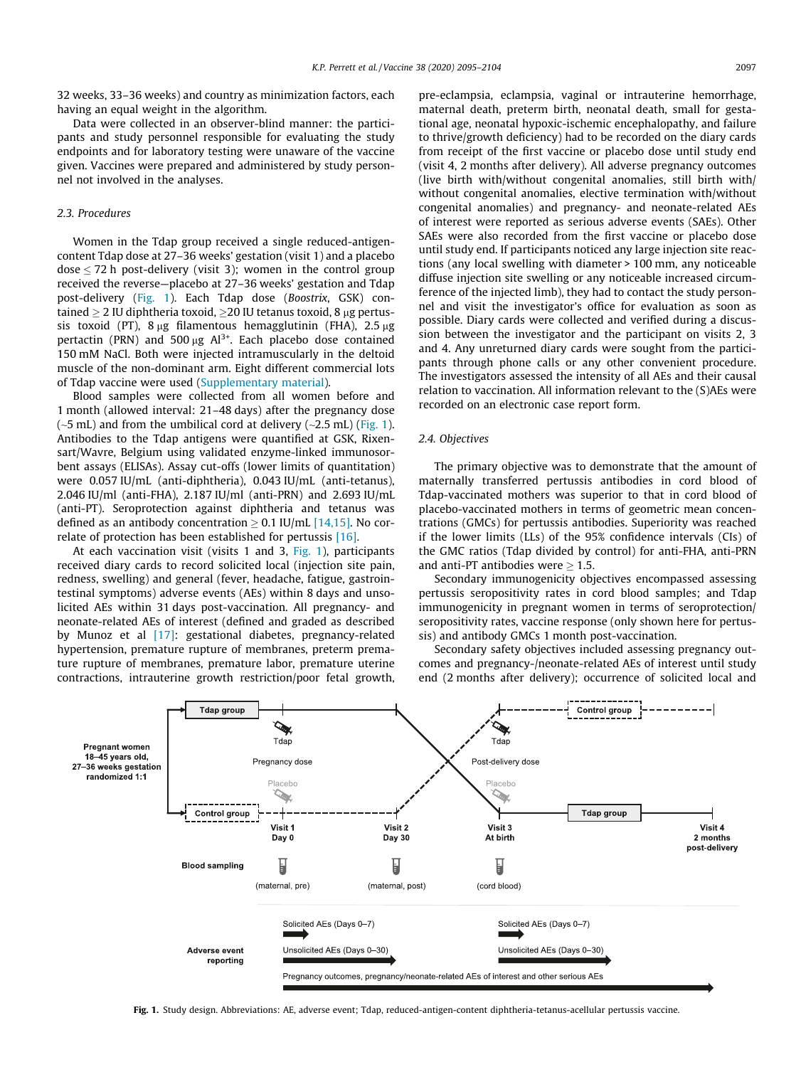<span id="page-2-0"></span>32 weeks, 33–36 weeks) and country as minimization factors, each having an equal weight in the algorithm.

Data were collected in an observer-blind manner: the participants and study personnel responsible for evaluating the study endpoints and for laboratory testing were unaware of the vaccine given. Vaccines were prepared and administered by study personnel not involved in the analyses.

# 2.3. Procedures

Women in the Tdap group received a single reduced-antigencontent Tdap dose at 27–36 weeks' gestation (visit 1) and a placebo  $dose < 72$  h post-delivery (visit 3); women in the control group received the reverse—placebo at 27–36 weeks' gestation and Tdap post-delivery (Fig. 1). Each Tdap dose (Boostrix, GSK) contained  $>$  2 IU diphtheria toxoid,  $>$  20 IU tetanus toxoid, 8  $\mu$ g pertussis toxoid (PT),  $8 \mu g$  filamentous hemagglutinin (FHA),  $2.5 \mu g$ pertactin (PRN) and 500  $\mu$ g Al<sup>3+</sup>. Each placebo dose contained 150 mM NaCl. Both were injected intramuscularly in the deltoid muscle of the non-dominant arm. Eight different commercial lots of Tdap vaccine were used (Supplementary material).

Blood samples were collected from all women before and 1 month (allowed interval: 21–48 days) after the pregnancy dose  $(-5$  mL) and from the umbilical cord at delivery  $(-2.5$  mL) (Fig. 1). Antibodies to the Tdap antigens were quantified at GSK, Rixensart/Wavre, Belgium using validated enzyme-linked immunosorbent assays (ELISAs). Assay cut-offs (lower limits of quantitation) were 0.057 IU/mL (anti-diphtheria), 0.043 IU/mL (anti-tetanus), 2.046 IU/ml (anti-FHA), 2.187 IU/ml (anti-PRN) and 2.693 IU/mL (anti-PT). Seroprotection against diphtheria and tetanus was defined as an antibody concentration  $> 0.1$  IU/mL [\[14,15\]](#page-9-0). No correlate of protection has been established for pertussis [\[16\]](#page-9-0).

At each vaccination visit (visits 1 and 3, Fig. 1), participants received diary cards to record solicited local (injection site pain, redness, swelling) and general (fever, headache, fatigue, gastrointestinal symptoms) adverse events (AEs) within 8 days and unsolicited AEs within 31 days post-vaccination. All pregnancy- and neonate-related AEs of interest (defined and graded as described by Munoz et al [\[17\]:](#page-9-0) gestational diabetes, pregnancy-related hypertension, premature rupture of membranes, preterm premature rupture of membranes, premature labor, premature uterine contractions, intrauterine growth restriction/poor fetal growth, pre-eclampsia, eclampsia, vaginal or intrauterine hemorrhage, maternal death, preterm birth, neonatal death, small for gestational age, neonatal hypoxic-ischemic encephalopathy, and failure to thrive/growth deficiency) had to be recorded on the diary cards from receipt of the first vaccine or placebo dose until study end (visit 4, 2 months after delivery). All adverse pregnancy outcomes (live birth with/without congenital anomalies, still birth with/ without congenital anomalies, elective termination with/without congenital anomalies) and pregnancy- and neonate-related AEs of interest were reported as serious adverse events (SAEs). Other SAEs were also recorded from the first vaccine or placebo dose until study end. If participants noticed any large injection site reactions (any local swelling with diameter > 100 mm, any noticeable diffuse injection site swelling or any noticeable increased circumference of the injected limb), they had to contact the study personnel and visit the investigator's office for evaluation as soon as possible. Diary cards were collected and verified during a discussion between the investigator and the participant on visits 2, 3 and 4. Any unreturned diary cards were sought from the participants through phone calls or any other convenient procedure. The investigators assessed the intensity of all AEs and their causal relation to vaccination. All information relevant to the (S)AEs were recorded on an electronic case report form.

# 2.4. Objectives

The primary objective was to demonstrate that the amount of maternally transferred pertussis antibodies in cord blood of Tdap-vaccinated mothers was superior to that in cord blood of placebo-vaccinated mothers in terms of geometric mean concentrations (GMCs) for pertussis antibodies. Superiority was reached if the lower limits (LLs) of the 95% confidence intervals (CIs) of the GMC ratios (Tdap divided by control) for anti-FHA, anti-PRN and anti-PT antibodies were  $> 1.5$ .

Secondary immunogenicity objectives encompassed assessing pertussis seropositivity rates in cord blood samples; and Tdap immunogenicity in pregnant women in terms of seroprotection/ seropositivity rates, vaccine response (only shown here for pertussis) and antibody GMCs 1 month post-vaccination.

Secondary safety objectives included assessing pregnancy outcomes and pregnancy-/neonate-related AEs of interest until study end (2 months after delivery); occurrence of solicited local and



Fig. 1. Study design. Abbreviations: AE, adverse event; Tdap, reduced-antigen-content diphtheria-tetanus-acellular pertussis vaccine.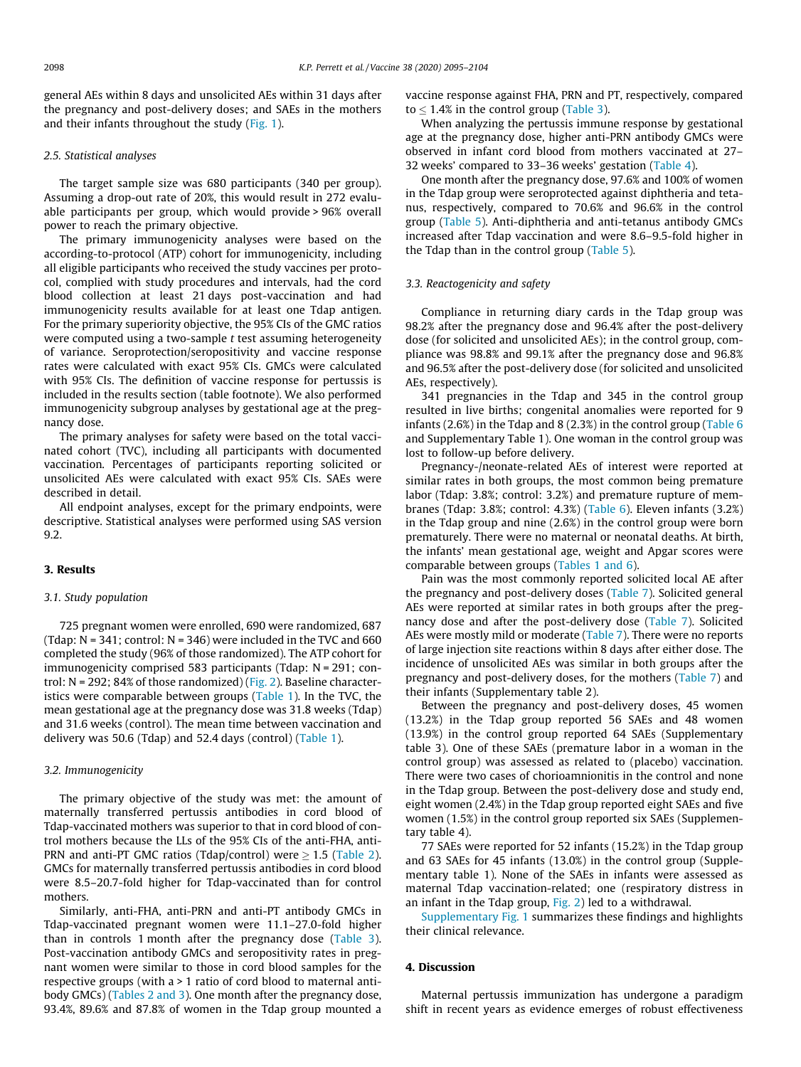general AEs within 8 days and unsolicited AEs within 31 days after the pregnancy and post-delivery doses; and SAEs in the mothers and their infants throughout the study ([Fig. 1](#page-2-0)).

## 2.5. Statistical analyses

The target sample size was 680 participants (340 per group). Assuming a drop-out rate of 20%, this would result in 272 evaluable participants per group, which would provide > 96% overall power to reach the primary objective.

The primary immunogenicity analyses were based on the according-to-protocol (ATP) cohort for immunogenicity, including all eligible participants who received the study vaccines per protocol, complied with study procedures and intervals, had the cord blood collection at least 21 days post-vaccination and had immunogenicity results available for at least one Tdap antigen. For the primary superiority objective, the 95% CIs of the GMC ratios were computed using a two-sample t test assuming heterogeneity of variance. Seroprotection/seropositivity and vaccine response rates were calculated with exact 95% CIs. GMCs were calculated with 95% CIs. The definition of vaccine response for pertussis is included in the results section (table footnote). We also performed immunogenicity subgroup analyses by gestational age at the pregnancy dose.

The primary analyses for safety were based on the total vaccinated cohort (TVC), including all participants with documented vaccination. Percentages of participants reporting solicited or unsolicited AEs were calculated with exact 95% CIs. SAEs were described in detail.

All endpoint analyses, except for the primary endpoints, were descriptive. Statistical analyses were performed using SAS version 9.2.

## 3. Results

## 3.1. Study population

725 pregnant women were enrolled, 690 were randomized, 687 (Tdap:  $N = 341$ ; control:  $N = 346$ ) were included in the TVC and 660 completed the study (96% of those randomized). The ATP cohort for immunogenicity comprised 583 participants (Tdap: N = 291; control:  $N = 292$ ; 84% of those randomized) ([Fig. 2](#page-4-0)). Baseline characteristics were comparable between groups ([Table 1\)](#page-5-0). In the TVC, the mean gestational age at the pregnancy dose was 31.8 weeks (Tdap) and 31.6 weeks (control). The mean time between vaccination and delivery was 50.6 (Tdap) and 52.4 days (control) [\(Table 1\)](#page-5-0).

## 3.2. Immunogenicity

The primary objective of the study was met: the amount of maternally transferred pertussis antibodies in cord blood of Tdap-vaccinated mothers was superior to that in cord blood of control mothers because the LLs of the 95% CIs of the anti-FHA, anti-PRN and anti-PT GMC ratios (Tdap/control) were  $\geq$  1.5 [\(Table 2\)](#page-5-0). GMCs for maternally transferred pertussis antibodies in cord blood were 8.5–20.7-fold higher for Tdap-vaccinated than for control mothers.

Similarly, anti-FHA, anti-PRN and anti-PT antibody GMCs in Tdap-vaccinated pregnant women were 11.1–27.0-fold higher than in controls 1 month after the pregnancy dose ([Table 3\)](#page-6-0). Post-vaccination antibody GMCs and seropositivity rates in pregnant women were similar to those in cord blood samples for the respective groups (with a > 1 ratio of cord blood to maternal antibody GMCs) ([Tables 2 and 3\)](#page-5-0). One month after the pregnancy dose, 93.4%, 89.6% and 87.8% of women in the Tdap group mounted a vaccine response against FHA, PRN and PT, respectively, compared to  $\leq$  1.4% in the control group [\(Table 3\)](#page-6-0).

When analyzing the pertussis immune response by gestational age at the pregnancy dose, higher anti-PRN antibody GMCs were observed in infant cord blood from mothers vaccinated at 27– 32 weeks' compared to 33–36 weeks' gestation [\(Table 4](#page-6-0)).

One month after the pregnancy dose, 97.6% and 100% of women in the Tdap group were seroprotected against diphtheria and tetanus, respectively, compared to 70.6% and 96.6% in the control group ([Table 5](#page-6-0)). Anti-diphtheria and anti-tetanus antibody GMCs increased after Tdap vaccination and were 8.6–9.5-fold higher in the Tdap than in the control group ([Table 5\)](#page-6-0).

## 3.3. Reactogenicity and safety

Compliance in returning diary cards in the Tdap group was 98.2% after the pregnancy dose and 96.4% after the post-delivery dose (for solicited and unsolicited AEs); in the control group, compliance was 98.8% and 99.1% after the pregnancy dose and 96.8% and 96.5% after the post-delivery dose (for solicited and unsolicited AEs, respectively).

341 pregnancies in the Tdap and 345 in the control group resulted in live births; congenital anomalies were reported for 9 infants (2.6%) in the Tdap and 8 (2.3%) in the control group ([Table 6](#page-7-0) and Supplementary Table 1). One woman in the control group was lost to follow-up before delivery.

Pregnancy-/neonate-related AEs of interest were reported at similar rates in both groups, the most common being premature labor (Tdap: 3.8%; control: 3.2%) and premature rupture of membranes (Tdap: 3.8%; control: 4.3%) ([Table 6\)](#page-7-0). Eleven infants (3.2%) in the Tdap group and nine (2.6%) in the control group were born prematurely. There were no maternal or neonatal deaths. At birth, the infants' mean gestational age, weight and Apgar scores were comparable between groups [\(Tables 1 and 6\)](#page-5-0).

Pain was the most commonly reported solicited local AE after the pregnancy and post-delivery doses ([Table 7](#page-7-0)). Solicited general AEs were reported at similar rates in both groups after the pregnancy dose and after the post-delivery dose ([Table 7\)](#page-7-0). Solicited AEs were mostly mild or moderate [\(Table 7](#page-7-0)). There were no reports of large injection site reactions within 8 days after either dose. The incidence of unsolicited AEs was similar in both groups after the pregnancy and post-delivery doses, for the mothers [\(Table 7\)](#page-7-0) and their infants (Supplementary table 2).

Between the pregnancy and post-delivery doses, 45 women (13.2%) in the Tdap group reported 56 SAEs and 48 women (13.9%) in the control group reported 64 SAEs (Supplementary table 3). One of these SAEs (premature labor in a woman in the control group) was assessed as related to (placebo) vaccination. There were two cases of chorioamnionitis in the control and none in the Tdap group. Between the post-delivery dose and study end, eight women (2.4%) in the Tdap group reported eight SAEs and five women (1.5%) in the control group reported six SAEs (Supplementary table 4).

77 SAEs were reported for 52 infants (15.2%) in the Tdap group and 63 SAEs for 45 infants (13.0%) in the control group (Supplementary table 1). None of the SAEs in infants were assessed as maternal Tdap vaccination-related; one (respiratory distress in an infant in the Tdap group, [Fig. 2\)](#page-4-0) led to a withdrawal.

Supplementary Fig. 1 summarizes these findings and highlights their clinical relevance.

# 4. Discussion

Maternal pertussis immunization has undergone a paradigm shift in recent years as evidence emerges of robust effectiveness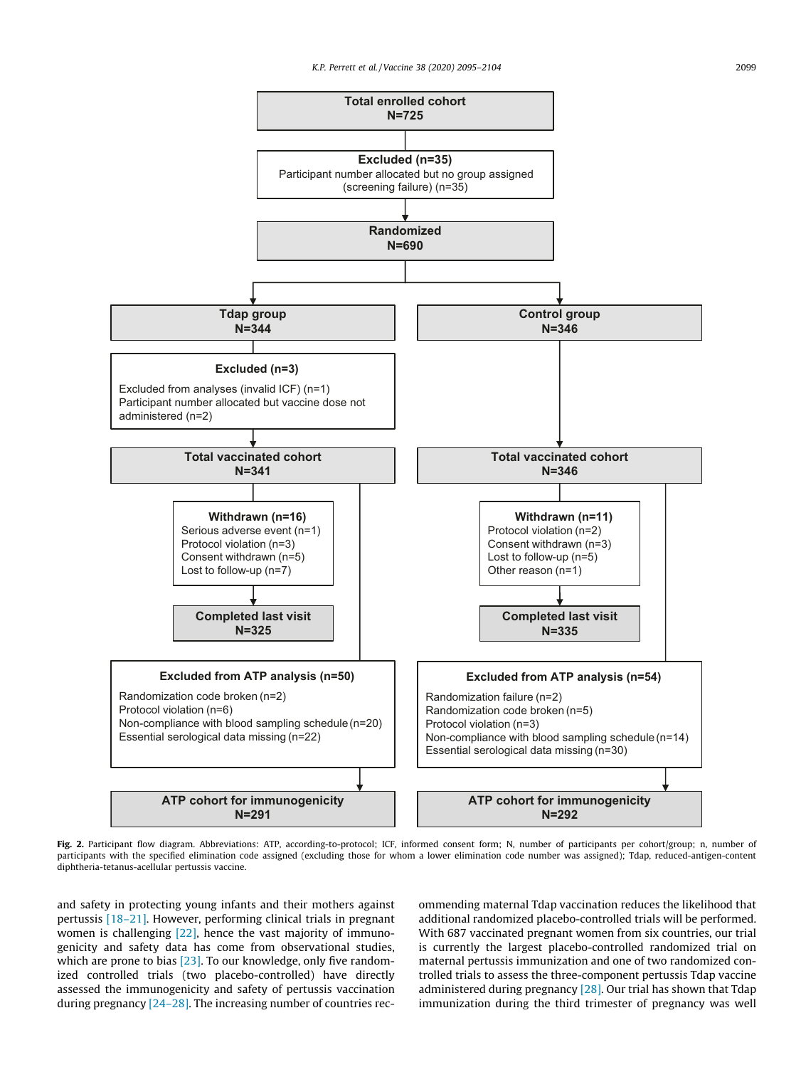<span id="page-4-0"></span>

Fig. 2. Participant flow diagram. Abbreviations: ATP, according-to-protocol; ICF, informed consent form; N, number of participants per cohort/group; n, number of participants with the specified elimination code assigned (excluding those for whom a lower elimination code number was assigned); Tdap, reduced-antigen-content diphtheria-tetanus-acellular pertussis vaccine.

and safety in protecting young infants and their mothers against pertussis [\[18–21\].](#page-9-0) However, performing clinical trials in pregnant women is challenging [\[22\]](#page-9-0), hence the vast majority of immunogenicity and safety data has come from observational studies, which are prone to bias [\[23\]](#page-9-0). To our knowledge, only five randomized controlled trials (two placebo-controlled) have directly assessed the immunogenicity and safety of pertussis vaccination during pregnancy [\[24–28\]](#page-9-0). The increasing number of countries recommending maternal Tdap vaccination reduces the likelihood that additional randomized placebo-controlled trials will be performed. With 687 vaccinated pregnant women from six countries, our trial is currently the largest placebo-controlled randomized trial on maternal pertussis immunization and one of two randomized controlled trials to assess the three-component pertussis Tdap vaccine administered during pregnancy [\[28\]](#page-9-0). Our trial has shown that Tdap immunization during the third trimester of pregnancy was well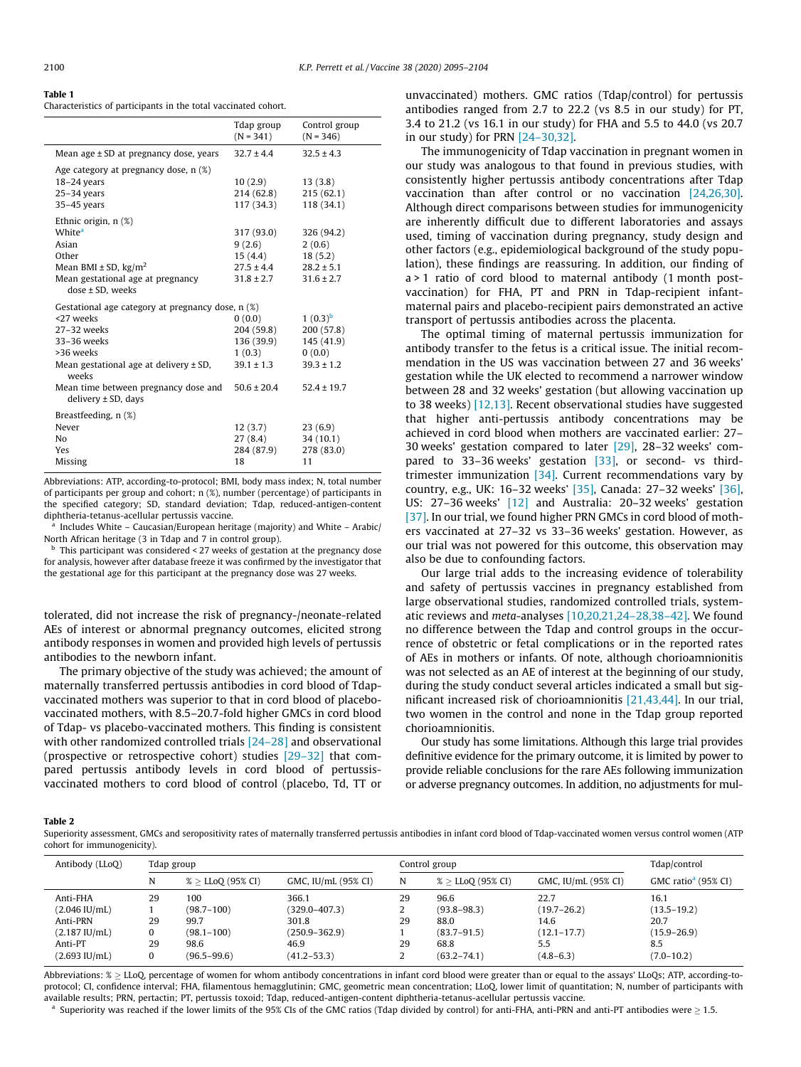#### <span id="page-5-0"></span>Table 1

| Characteristics of participants in the total vaccinated cohort. |  |  |  |  |
|-----------------------------------------------------------------|--|--|--|--|
|-----------------------------------------------------------------|--|--|--|--|

|                                                                                                                                                                                                                                     | Tdap group<br>$(N = 341)$                                                         | Control group<br>$(N = 346)$                                                          |
|-------------------------------------------------------------------------------------------------------------------------------------------------------------------------------------------------------------------------------------|-----------------------------------------------------------------------------------|---------------------------------------------------------------------------------------|
| Mean age $\pm$ SD at pregnancy dose, years                                                                                                                                                                                          | $32.7 \pm 4.4$                                                                    | $32.5 \pm 4.3$                                                                        |
| Age category at pregnancy dose, n (%)<br>$18-24$ years<br>$25-34$ years<br>$35-45$ years                                                                                                                                            | 10(2.9)<br>214 (62.8)<br>117 (34.3)                                               | 13(3.8)<br>215(62.1)<br>118 (34.1)                                                    |
| Ethnic origin, n (%)<br>White <sup>a</sup><br>Asian<br>Other<br>Mean BMI $\pm$ SD, kg/m <sup>2</sup><br>Mean gestational age at pregnancy<br>$dose \pm SD$ , weeks                                                                  | 317 (93.0)<br>9(2.6)<br>15(4.4)<br>$27.5 \pm 4.4$<br>$31.8 \pm 2.7$               | 326 (94.2)<br>2(0.6)<br>18(5.2)<br>$28.2 \pm 5.1$<br>$31.6 \pm 2.7$                   |
| Gestational age category at pregnancy dose, n (%)<br><27 weeks<br>27-32 weeks<br>33-36 weeks<br>>36 weeks<br>Mean gestational age at delivery $\pm$ SD,<br>weeks<br>Mean time between pregnancy dose and<br>delivery $\pm$ SD, days | 0(0.0)<br>204 (59.8)<br>136 (39.9)<br>1(0.3)<br>$39.1 \pm 1.3$<br>$50.6 \pm 20.4$ | $1(0.3)^b$<br>200 (57.8)<br>145 (41.9)<br>0(0.0)<br>$39.3 \pm 1.2$<br>$52.4 \pm 19.7$ |
| Breastfeeding, n (%)<br>Never<br>No<br>Yes<br>Missing                                                                                                                                                                               | 12(3.7)<br>27(8,4)<br>284 (87.9)<br>18                                            | 23(6.9)<br>34(10.1)<br>278 (83.0)<br>11                                               |

Abbreviations: ATP, according-to-protocol; BMI, body mass index; N, total number of participants per group and cohort; n (%), number (percentage) of participants in the specified category; SD, standard deviation; Tdap, reduced-antigen-content diphtheria-tetanus-acellular pertussis vaccine.

Includes White – Caucasian/European heritage (majority) and White – Arabic/ North African heritage (3 in Tdap and 7 in control group).

b This participant was considered < 27 weeks of gestation at the pregnancy dose for analysis, however after database freeze it was confirmed by the investigator that the gestational age for this participant at the pregnancy dose was 27 weeks.

tolerated, did not increase the risk of pregnancy-/neonate-related AEs of interest or abnormal pregnancy outcomes, elicited strong antibody responses in women and provided high levels of pertussis antibodies to the newborn infant.

The primary objective of the study was achieved; the amount of maternally transferred pertussis antibodies in cord blood of Tdapvaccinated mothers was superior to that in cord blood of placebovaccinated mothers, with 8.5–20.7-fold higher GMCs in cord blood of Tdap- vs placebo-vaccinated mothers. This finding is consistent with other randomized controlled trials [\[24–28\]](#page-9-0) and observational (prospective or retrospective cohort) studies [\[29–32\]](#page-9-0) that compared pertussis antibody levels in cord blood of pertussisvaccinated mothers to cord blood of control (placebo, Td, TT or unvaccinated) mothers. GMC ratios (Tdap/control) for pertussis antibodies ranged from 2.7 to 22.2 (vs 8.5 in our study) for PT, 3.4 to 21.2 (vs 16.1 in our study) for FHA and 5.5 to 44.0 (vs 20.7 in our study) for PRN [\[24–30,32\].](#page-9-0)

The immunogenicity of Tdap vaccination in pregnant women in our study was analogous to that found in previous studies, with consistently higher pertussis antibody concentrations after Tdap vaccination than after control or no vaccination [\[24,26,30\].](#page-9-0) Although direct comparisons between studies for immunogenicity are inherently difficult due to different laboratories and assays used, timing of vaccination during pregnancy, study design and other factors (e.g., epidemiological background of the study population), these findings are reassuring. In addition, our finding of a > 1 ratio of cord blood to maternal antibody (1 month postvaccination) for FHA, PT and PRN in Tdap-recipient infantmaternal pairs and placebo-recipient pairs demonstrated an active transport of pertussis antibodies across the placenta.

The optimal timing of maternal pertussis immunization for antibody transfer to the fetus is a critical issue. The initial recommendation in the US was vaccination between 27 and 36 weeks' gestation while the UK elected to recommend a narrower window between 28 and 32 weeks' gestation (but allowing vaccination up to 38 weeks) [\[12,13\]](#page-9-0). Recent observational studies have suggested that higher anti-pertussis antibody concentrations may be achieved in cord blood when mothers are vaccinated earlier: 27– 30 weeks' gestation compared to later [\[29\],](#page-9-0) 28–32 weeks' com-pared to 33-36 weeks' gestation [\[33\],](#page-9-0) or second- vs thirdtrimester immunization [\[34\].](#page-9-0) Current recommendations vary by country, e.g., UK: 16–32 weeks' [\[35\],](#page-9-0) Canada: 27–32 weeks' [\[36\],](#page-9-0) US: 27–36 weeks' [\[12\]](#page-9-0) and Australia: 20–32 weeks' gestation [\[37\]](#page-9-0). In our trial, we found higher PRN GMCs in cord blood of mothers vaccinated at 27–32 vs 33–36 weeks' gestation. However, as our trial was not powered for this outcome, this observation may also be due to confounding factors.

Our large trial adds to the increasing evidence of tolerability and safety of pertussis vaccines in pregnancy established from large observational studies, randomized controlled trials, systematic reviews and meta-analyses [\[10,20,21,24–28,38–42\]](#page-8-0). We found no difference between the Tdap and control groups in the occurrence of obstetric or fetal complications or in the reported rates of AEs in mothers or infants. Of note, although chorioamnionitis was not selected as an AE of interest at the beginning of our study, during the study conduct several articles indicated a small but significant increased risk of chorioamnionitis [\[21,43,44\]](#page-9-0). In our trial, two women in the control and none in the Tdap group reported chorioamnionitis.

Our study has some limitations. Although this large trial provides definitive evidence for the primary outcome, it is limited by power to provide reliable conclusions for the rare AEs following immunization or adverse pregnancy outcomes. In addition, no adjustments for mul-

#### Table 2

Superiority assessment, GMCs and seropositivity rates of maternally transferred pertussis antibodies in infant cord blood of Tdap-vaccinated women versus control women (ATP cohort for immunogenicity).

| Antibody (LLoQ) |          | Tdap group                                 |                   |                          | Control group   | Tdap/control        |                                 |
|-----------------|----------|--------------------------------------------|-------------------|--------------------------|-----------------|---------------------|---------------------------------|
|                 | N        | GMC, IU/mL (95% CI)<br>$% >$ LLoQ (95% CI) |                   | N<br>$% >$ LLoO (95% CI) |                 | GMC, IU/mL (95% CI) | GMC ratio <sup>a</sup> (95% CI) |
| Anti-FHA        | 29       | 100                                        | 366.1             | 29                       | 96.6            | 22.7                | 16.1                            |
| $(2.046$ IU/mL) |          | $(98.7 - 100)$                             | $(329.0 - 407.3)$ | 2                        | $(93.8 - 98.3)$ | $(19.7 - 26.2)$     | $(13.5 - 19.2)$                 |
| Anti-PRN        | 29       | 99.7                                       | 301.8             | 29                       | 88.0            | 14.6                | 20.7                            |
| $(2.187$ IU/mL) | $\Omega$ | $(98.1 - 100)$                             | $(250.9 - 362.9)$ |                          | $(83.7 - 91.5)$ | $(12.1 - 17.7)$     | $(15.9 - 26.9)$                 |
| Anti-PT         | 29       | 98.6                                       | 46.9              | 29                       | 68.8            | 5.5                 | 8.5                             |
| $(2.693$ IU/mL) | $\Omega$ | $(96.5 - 99.6)$                            | $(41.2 - 53.3)$   | 2                        | $(63.2 - 74.1)$ | $(4.8 - 6.3)$       | $(7.0 - 10.2)$                  |

Abbreviations:  $\mathscr{X} \geq L$ LoQ, percentage of women for whom antibody concentrations in infant cord blood were greater than or equal to the assays' LLoQs; ATP, according-toprotocol; CI, confidence interval; FHA, filamentous hemagglutinin; GMC, geometric mean concentration; LLoQ, lower limit of quantitation; N, number of participants with available results; PRN, pertactin; PT, pertussis toxoid; Tdap, reduced-antigen-content diphtheria-tetanus-acellular pertussis vaccine.

<sup>a</sup> Superiority was reached if the lower limits of the 95% CIs of the GMC ratios (Tdap divided by control) for anti-FHA, anti-PRN and anti-PT antibodies were  $\geq 1.5$ .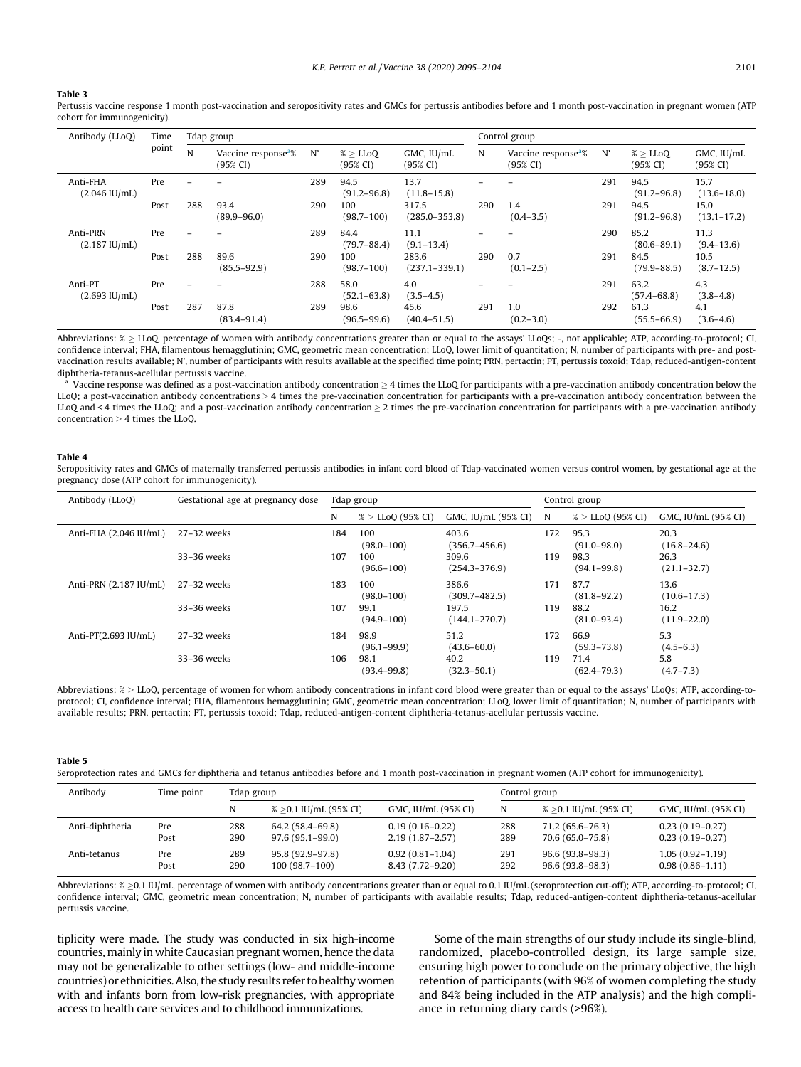#### <span id="page-6-0"></span>Table 3

Pertussis vaccine response 1 month post-vaccination and seropositivity rates and GMCs for pertussis antibodies before and 1 month post-vaccination in pregnant women (ATP cohort for immunogenicity).

| Time<br>Antibody (LLoQ)     |       |     | Tdap group                                  |     |                         |                            | Control group |                                             |     |                         |                         |
|-----------------------------|-------|-----|---------------------------------------------|-----|-------------------------|----------------------------|---------------|---------------------------------------------|-----|-------------------------|-------------------------|
|                             | point |     | Vaccine response <sup>a</sup> %<br>(95% CI) | N'  | % > LLOO<br>(95% CI)    | GMC, IU/mL<br>(95% CI)     | N             | Vaccine response <sup>a</sup> %<br>(95% CI) | N'  | % > LLOO<br>(95% CI)    | GMC, IU/mL<br>(95% CI)  |
| Anti-FHA<br>$(2.046$ IU/mL) | Pre   |     |                                             | 289 | 94.5<br>$(91.2 - 96.8)$ | 13.7<br>$(11.8 - 15.8)$    |               |                                             | 291 | 94.5<br>$(91.2 - 96.8)$ | 15.7<br>$(13.6 - 18.0)$ |
|                             | Post  | 288 | 93.4<br>$(89.9 - 96.0)$                     | 290 | 100<br>$(98.7 - 100)$   | 317.5<br>$(285.0 - 353.8)$ | 290           | 1.4<br>$(0.4 - 3.5)$                        | 291 | 94.5<br>$(91.2 - 96.8)$ | 15.0<br>$(13.1 - 17.2)$ |
| Anti-PRN<br>$(2.187$ IU/mL) | Pre   |     |                                             | 289 | 84.4<br>$(79.7 - 88.4)$ | 11.1<br>$(9.1 - 13.4)$     |               |                                             | 290 | 85.2<br>$(80.6 - 89.1)$ | 11.3<br>$(9.4 - 13.6)$  |
|                             | Post  | 288 | 89.6<br>$(85.5 - 92.9)$                     | 290 | 100<br>$(98.7 - 100)$   | 283.6<br>$(237.1 - 339.1)$ | 290           | 0.7<br>$(0.1 - 2.5)$                        | 291 | 84.5<br>$(79.9 - 88.5)$ | 10.5<br>$(8.7 - 12.5)$  |
| Anti-PT<br>$(2.693$ IU/mL)  | Pre   |     |                                             | 288 | 58.0<br>$(52.1 - 63.8)$ | 4.0<br>$(3.5 - 4.5)$       |               |                                             | 291 | 63.2<br>$(57.4 - 68.8)$ | 4.3<br>$(3.8 - 4.8)$    |
|                             | Post  | 287 | 87.8<br>$(83.4 - 91.4)$                     | 289 | 98.6<br>$(96.5 - 99.6)$ | 45.6<br>$(40.4 - 51.5)$    | 291           | 1.0<br>$(0.2 - 3.0)$                        | 292 | 61.3<br>$(55.5 - 66.9)$ | 4.1<br>$(3.6 - 4.6)$    |

Abbreviations:  $\%$  > LLoQ, percentage of women with antibody concentrations greater than or equal to the assays' LLoQs; -, not applicable; ATP, according-to-protocol; CI, confidence interval; FHA, filamentous hemagglutinin; GMC, geometric mean concentration; LLoQ, lower limit of quantitation; N, number of participants with pre- and postvaccination results available; N', number of participants with results available at the specified time point; PRN, pertactin; PT, pertussis toxoid; Tdap, reduced-antigen-content diphtheria-tetanus-acellular pertussis vaccine.

Vaccine response was defined as a post-vaccination antibody concentration > 4 times the LLoQ for participants with a pre-vaccination antibody concentration below the LLoO; a post-vaccination antibody concentrations  $\geq 4$  times the pre-vaccination concentration for participants with a pre-vaccination antibody concentration between the LLoQ and < 4 times the LLoQ; and a post-vaccination antibody concentration 2 times the pre-vaccination concentration for participants with a pre-vaccination antibody concentration  $>$  4 times the LLoQ.

#### Table 4

Seropositivity rates and GMCs of maternally transferred pertussis antibodies in infant cord blood of Tdap-vaccinated women versus control women, by gestational age at the pregnancy dose (ATP cohort for immunogenicity).

| Antibody (LLoQ)        | Gestational age at pregnancy dose |     | Tdap group              |                            |     | Control group           |                         |  |  |
|------------------------|-----------------------------------|-----|-------------------------|----------------------------|-----|-------------------------|-------------------------|--|--|
|                        |                                   | N   | $% >$ LLoO (95% CI)     | GMC, IU/mL (95% CI)        | N   | $% >$ LLoO (95% CI)     | GMC, IU/mL (95% CI)     |  |  |
| Anti-FHA (2.046 IU/mL) | 27-32 weeks                       | 184 | 100<br>$(98.0 - 100)$   | 403.6<br>$(356.7 - 456.6)$ | 172 | 95.3<br>$(91.0 - 98.0)$ | 20.3<br>$(16.8 - 24.6)$ |  |  |
|                        | 33-36 weeks                       | 107 | 100<br>$(96.6 - 100)$   | 309.6<br>$(254.3 - 376.9)$ | 119 | 98.3<br>$(94.1 - 99.8)$ | 26.3<br>$(21.1 - 32.7)$ |  |  |
| Anti-PRN (2.187 IU/mL) | 27-32 weeks                       | 183 | 100<br>$(98.0 - 100)$   | 386.6<br>$(309.7 - 482.5)$ | 171 | 87.7<br>$(81.8 - 92.2)$ | 13.6<br>$(10.6 - 17.3)$ |  |  |
|                        | $33-36$ weeks                     | 107 | 99.1<br>$(94.9 - 100)$  | 197.5<br>$(144.1 - 270.7)$ | 119 | 88.2<br>$(81.0 - 93.4)$ | 16.2<br>$(11.9 - 22.0)$ |  |  |
| Anti-PT(2.693 IU/mL)   | 27-32 weeks                       | 184 | 98.9<br>$(96.1 - 99.9)$ | 51.2<br>$(43.6 - 60.0)$    | 172 | 66.9<br>$(59.3 - 73.8)$ | 5.3<br>$(4.5 - 6.3)$    |  |  |
|                        | 33-36 weeks                       | 106 | 98.1<br>$(93.4 - 99.8)$ | 40.2<br>$(32.3 - 50.1)$    | 119 | 71.4<br>$(62.4 - 79.3)$ | 5.8<br>$(4.7 - 7.3)$    |  |  |

Abbreviations: % > LLoQ, percentage of women for whom antibody concentrations in infant cord blood were greater than or equal to the assays' LLoQs; ATP, according-toprotocol; CI, confidence interval; FHA, filamentous hemagglutinin; GMC, geometric mean concentration; LLoQ, lower limit of quantitation; N, number of participants with available results; PRN, pertactin; PT, pertussis toxoid; Tdap, reduced-antigen-content diphtheria-tetanus-acellular pertussis vaccine.

#### Table 5

Seroprotection rates and GMCs for diphtheria and tetanus antibodies before and 1 month post-vaccination in pregnant women (ATP cohort for immunogenicity).

| Antibody        | Time point |     | Tdap group               |                     |     | Control group            |                     |  |  |  |
|-----------------|------------|-----|--------------------------|---------------------|-----|--------------------------|---------------------|--|--|--|
|                 |            | N   | $% > 0.1$ IU/mL (95% CI) | GMC, IU/mL (95% CI) | N   | $% > 0.1$ IU/mL (95% CI) | GMC, IU/mL (95% CI) |  |  |  |
| Anti-diphtheria | Pre        | 288 | 64.2 (58.4–69.8)         | $0.19(0.16 - 0.22)$ | 288 | 71.2 (65.6–76.3)         | $0.23(0.19-0.27)$   |  |  |  |
|                 | Post       | 290 | 97.6 (95.1–99.0)         | $2.19(1.87 - 2.57)$ | 289 | 70.6 (65.0–75.8)         | $0.23(0.19-0.27)$   |  |  |  |
| Anti-tetanus    | Pre        | 289 | 95.8 (92.9-97.8)         | $0.92(0.81-1.04)$   | 291 | 96.6 (93.8-98.3)         | $1.05(0.92 - 1.19)$ |  |  |  |
|                 | Post       | 290 | $100(98.7-100)$          | 8.43 (7.72–9.20)    | 292 | $96.6(93.8-98.3)$        | $0.98(0.86 - 1.11)$ |  |  |  |

Abbreviations: % ≥0.1 IU/mL, percentage of women with antibody concentrations greater than or equal to 0.1 IU/mL (seroprotection cut-off); ATP, according-to-protocol; CI, confidence interval; GMC, geometric mean concentration; N, number of participants with available results; Tdap, reduced-antigen-content diphtheria-tetanus-acellular pertussis vaccine.

tiplicity were made. The study was conducted in six high-income countries, mainly in white Caucasian pregnant women, hence the data may not be generalizable to other settings (low- and middle-income countries) or ethnicities. Also, the study results refer to healthy women with and infants born from low-risk pregnancies, with appropriate access to health care services and to childhood immunizations.

Some of the main strengths of our study include its single-blind, randomized, placebo-controlled design, its large sample size, ensuring high power to conclude on the primary objective, the high retention of participants (with 96% of women completing the study and 84% being included in the ATP analysis) and the high compliance in returning diary cards (>96%).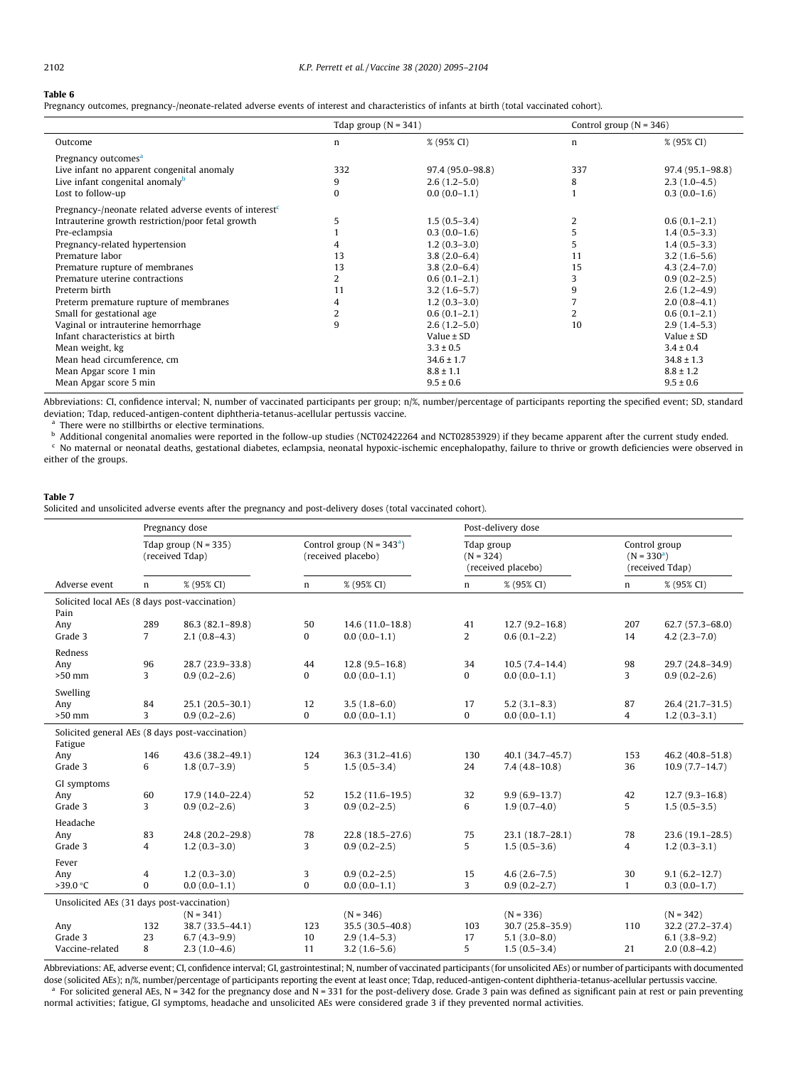#### <span id="page-7-0"></span>Table 6

Pregnancy outcomes, pregnancy-/neonate-related adverse events of interest and characteristics of infants at birth (total vaccinated cohort).

|                                                           | Tdap group $(N = 341)$ |                  | Control group $(N = 346)$ |                  |
|-----------------------------------------------------------|------------------------|------------------|---------------------------|------------------|
| Outcome                                                   | n                      | % (95% CI)       | n                         | % (95% CI)       |
| Pregnancy outcomes <sup>a</sup>                           |                        |                  |                           |                  |
| Live infant no apparent congenital anomaly                | 332                    | 97.4 (95.0-98.8) | 337                       | 97.4 (95.1-98.8) |
| Live infant congenital anomaly <sup>b</sup>               | 9                      | $2.6(1.2-5.0)$   | 8                         | $2.3(1.0-4.5)$   |
| Lost to follow-up                                         | $\Omega$               | $0.0(0.0-1.1)$   |                           | $0.3(0.0-1.6)$   |
| Pregnancy-/neonate related adverse events of interest $c$ |                        |                  |                           |                  |
| Intrauterine growth restriction/poor fetal growth         |                        | $1.5(0.5-3.4)$   | 2                         | $0.6(0.1-2.1)$   |
| Pre-eclampsia                                             |                        | $0.3(0.0-1.6)$   | 5                         | $1.4(0.5-3.3)$   |
| Pregnancy-related hypertension                            |                        | $1.2(0.3-3.0)$   | 5                         | $1.4(0.5-3.3)$   |
| Premature labor                                           | 13                     | $3.8(2.0-6.4)$   | 11                        | $3.2(1.6-5.6)$   |
| Premature rupture of membranes                            | 13                     | $3.8(2.0-6.4)$   | 15                        | $4.3(2.4 - 7.0)$ |
| Premature uterine contractions                            | 2                      | $0.6(0.1-2.1)$   | 3                         | $0.9(0.2 - 2.5)$ |
| Preterm birth                                             | 11                     | $3.2(1.6-5.7)$   | 9                         | $2.6(1.2-4.9)$   |
| Preterm premature rupture of membranes                    | 4                      | $1.2(0.3-3.0)$   |                           | $2.0(0.8-4.1)$   |
| Small for gestational age                                 | 2                      | $0.6(0.1-2.1)$   | 2                         | $0.6(0.1-2.1)$   |
| Vaginal or intrauterine hemorrhage                        | 9                      | $2.6(1.2-5.0)$   | 10                        | $2.9(1.4-5.3)$   |
| Infant characteristics at birth                           |                        | Value $\pm$ SD   |                           | Value $\pm$ SD   |
| Mean weight, kg                                           |                        | $3.3 \pm 0.5$    |                           | $3.4 \pm 0.4$    |
| Mean head circumference, cm                               |                        | $34.6 \pm 1.7$   |                           | $34.8 \pm 1.3$   |
| Mean Apgar score 1 min                                    |                        | $8.8 \pm 1.1$    |                           | $8.8 \pm 1.2$    |
| Mean Apgar score 5 min                                    |                        | $9.5 \pm 0.6$    |                           | $9.5 \pm 0.6$    |

Abbreviations: CI, confidence interval; N, number of vaccinated participants per group; n/%, number/percentage of participants reporting the specified event; SD, standard deviation; Tdap, reduced-antigen-content diphtheria-tetanus-acellular pertussis vaccine.

<sup>a</sup> There were no stillbirths or elective terminations.

b Additional congenital anomalies were reported in the follow-up studies (NCT02422264 and NCT02853929) if they became apparent after the current study ended. <sup>c</sup> No maternal or neonatal deaths, gestational diabetes, eclampsia, neonatal hypoxic-ischemic encephalopathy, failure to thrive or growth deficiencies were observed in either of the groups.

## Table 7

Solicited and unsolicited adverse events after the pregnancy and post-delivery doses (total vaccinated cohort).

|                                                       | Pregnancy dose       |                                                                     |                 |                                                                        | Post-delivery dose   |                                                                        |                      |                                                                     |  |
|-------------------------------------------------------|----------------------|---------------------------------------------------------------------|-----------------|------------------------------------------------------------------------|----------------------|------------------------------------------------------------------------|----------------------|---------------------------------------------------------------------|--|
|                                                       |                      | Tdap group $(N = 335)$<br>(received Tdap)                           |                 | Control group ( $N = 343a$ )<br>(received placebo)                     |                      | Tdap group<br>$(N = 324)$<br>(received placebo)                        | $(N = 330a)$         | Control group<br>(received Tdap)                                    |  |
| Adverse event                                         | n                    | % (95% CI)                                                          | n               | % (95% CI)                                                             | % (95% CI)<br>n      |                                                                        | n                    | % (95% CI)                                                          |  |
| Solicited local AEs (8 days post-vaccination)<br>Pain |                      |                                                                     |                 |                                                                        |                      |                                                                        |                      |                                                                     |  |
| Any<br>Grade 3                                        | 289<br>$7^{\circ}$   | 86.3 (82.1-89.8)<br>$2.1(0.8-4.3)$                                  | 50<br>0         | $14.6(11.0-18.8)$<br>$0.0(0.0-1.1)$                                    | 41<br>2              | $12.7(9.2 - 16.8)$<br>$0.6(0.1-2.2)$                                   | 207<br>14            | $62.7(57.3 - 68.0)$<br>$4.2(2.3 - 7.0)$                             |  |
| Redness<br>Any<br>$>50$ mm                            | 96<br>3              | 28.7 (23.9-33.8)<br>$0.9(0.2 - 2.6)$                                | 44<br>0         | $12.8(9.5 - 16.8)$<br>$0.0(0.0-1.1)$                                   | 34<br>$\Omega$       | $10.5(7.4-14.4)$<br>$0.0(0.0-1.1)$                                     | 98<br>$\overline{3}$ | 29.7 (24.8-34.9)<br>$0.9(0.2 - 2.6)$                                |  |
| Swelling<br>Any<br>$>50$ mm                           | 84<br>3              | $25.1(20.5 - 30.1)$<br>$0.9(0.2 - 2.6)$                             | 12<br>0         | $3.5(1.8-6.0)$<br>$0.0(0.0-1.1)$                                       | 17<br>$\mathbf{0}$   | $5.2(3.1 - 8.3)$<br>$0.0(0.0-1.1)$                                     | 87<br>4              | $26.4(21.7-31.5)$<br>$1.2(0.3-3.1)$                                 |  |
|                                                       |                      | Solicited general AEs (8 days post-vaccination)                     |                 |                                                                        |                      |                                                                        |                      |                                                                     |  |
| Fatigue<br>Any<br>Grade 3                             | 146<br>6             | 43.6 (38.2-49.1)<br>$1.8(0.7-3.9)$                                  | 124<br>5        | 36.3 (31.2-41.6)<br>$1.5(0.5-3.4)$                                     | 130<br>24            | 40.1 (34.7-45.7)<br>$7.4(4.8-10.8)$                                    | 153<br>36            | $46.2(40.8 - 51.8)$<br>$10.9(7.7-14.7)$                             |  |
| GI symptoms<br>Any<br>Grade 3                         | 60<br>3              | 17.9 (14.0-22.4)<br>$0.9(0.2 - 2.6)$                                | 52<br>3         | $15.2(11.6-19.5)$<br>$0.9(0.2 - 2.5)$                                  | 32<br>6              | $9.9(6.9 - 13.7)$<br>$1.9(0.7-4.0)$                                    | 42<br>5              | $12.7(9.3-16.8)$<br>$1.5(0.5-3.5)$                                  |  |
| Headache<br>Any<br>Grade 3                            | 83<br>$\overline{4}$ | 24.8 (20.2-29.8)<br>$1.2(0.3-3.0)$                                  | 78<br>3         | $22.8(18.5 - 27.6)$<br>$0.9(0.2 - 2.5)$                                | 75<br>5              | $23.1(18.7-28.1)$<br>$1.5(0.5-3.6)$                                    | 78<br>$\overline{4}$ | $23.6(19.1 - 28.5)$<br>$1.2(0.3-3.1)$                               |  |
| Fever<br>Any<br>>39.0 °C                              | 4<br>$\mathbf{0}$    | $1.2(0.3-3.0)$<br>$0.0(0.0-1.1)$                                    | 3<br>0          | $0.9(0.2 - 2.5)$<br>$0.0(0.0-1.1)$                                     | 15<br>$\overline{3}$ | $4.6(2.6 - 7.5)$<br>$0.9(0.2 - 2.7)$                                   | 30<br>$\mathbf{1}$   | $9.1(6.2 - 12.7)$<br>$0.3(0.0-1.7)$                                 |  |
| Unsolicited AEs (31 days post-vaccination)            |                      |                                                                     |                 |                                                                        |                      |                                                                        |                      |                                                                     |  |
| Any<br>Grade 3<br>Vaccine-related                     | 132<br>23<br>8       | $(N = 341)$<br>38.7 (33.5-44.1)<br>$6.7(4.3-9.9)$<br>$2.3(1.0-4.6)$ | 123<br>10<br>11 | $(N = 346)$<br>$35.5(30.5 - 40.8)$<br>$2.9(1.4-5.3)$<br>$3.2(1.6-5.6)$ | 103<br>17<br>5       | $(N = 336)$<br>$30.7(25.8 - 35.9)$<br>$5.1(3.0-8.0)$<br>$1.5(0.5-3.4)$ | 110<br>21            | $(N = 342)$<br>32.2 (27.2-37.4)<br>$6.1(3.8-9.2)$<br>$2.0(0.8-4.2)$ |  |

Abbreviations: AE, adverse event; CI, confidence interval; GI, gastrointestinal; N, number of vaccinated participants (for unsolicited AEs) or number of participants with documented dose (solicited AEs); n/%, number/percentage of participants reporting the event at least once; Tdap, reduced-antigen-content diphtheria-tetanus-acellular pertussis vaccine.

 $a$  For solicited general AEs, N = 342 for the pregnancy dose and N = 331 for the post-delivery dose. Grade 3 pain was defined as significant pain at rest or pain preventing normal activities; fatigue, GI symptoms, headache and unsolicited AEs were considered grade 3 if they prevented normal activities.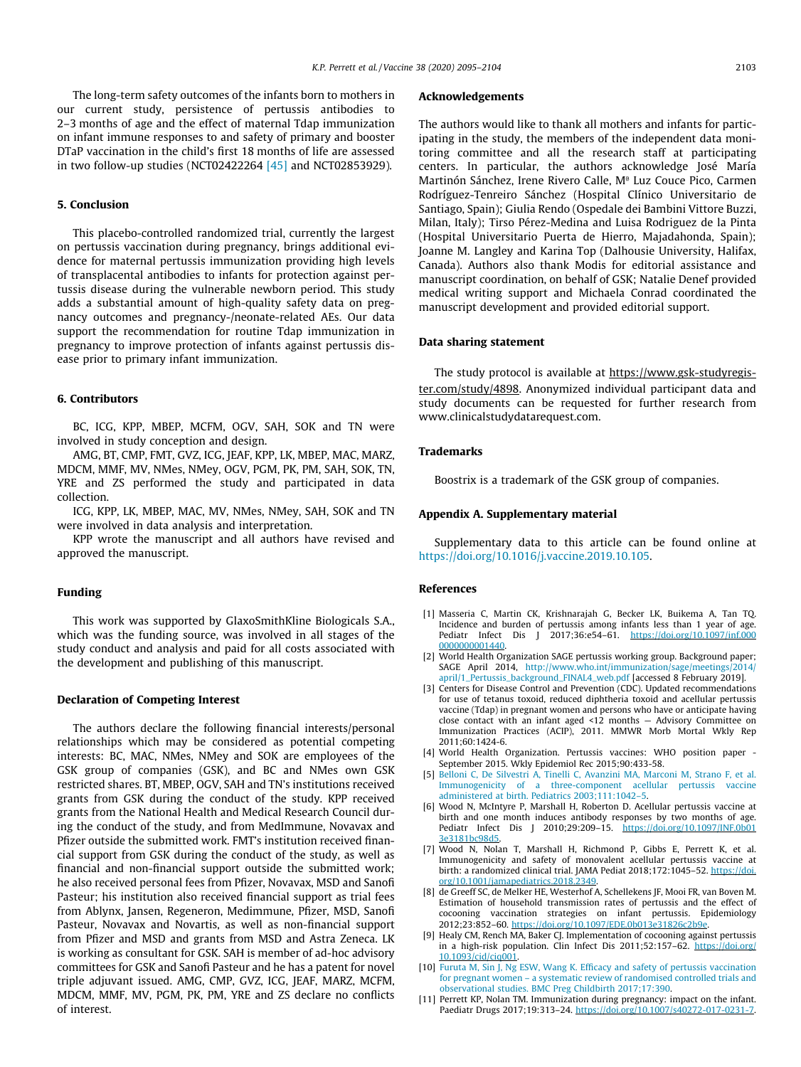<span id="page-8-0"></span>The long-term safety outcomes of the infants born to mothers in our current study, persistence of pertussis antibodies to 2–3 months of age and the effect of maternal Tdap immunization on infant immune responses to and safety of primary and booster DTaP vaccination in the child's first 18 months of life are assessed in two follow-up studies (NCT02422264 [\[45\]](#page-9-0) and NCT02853929).

## 5. Conclusion

This placebo-controlled randomized trial, currently the largest on pertussis vaccination during pregnancy, brings additional evidence for maternal pertussis immunization providing high levels of transplacental antibodies to infants for protection against pertussis disease during the vulnerable newborn period. This study adds a substantial amount of high-quality safety data on pregnancy outcomes and pregnancy-/neonate-related AEs. Our data support the recommendation for routine Tdap immunization in pregnancy to improve protection of infants against pertussis disease prior to primary infant immunization.

# 6. Contributors

BC, ICG, KPP, MBEP, MCFM, OGV, SAH, SOK and TN were involved in study conception and design.

AMG, BT, CMP, FMT, GVZ, ICG, JEAF, KPP, LK, MBEP, MAC, MARZ, MDCM, MMF, MV, NMes, NMey, OGV, PGM, PK, PM, SAH, SOK, TN, YRE and ZS performed the study and participated in data collection.

ICG, KPP, LK, MBEP, MAC, MV, NMes, NMey, SAH, SOK and TN were involved in data analysis and interpretation.

KPP wrote the manuscript and all authors have revised and approved the manuscript.

## Funding

This work was supported by GlaxoSmithKline Biologicals S.A., which was the funding source, was involved in all stages of the study conduct and analysis and paid for all costs associated with the development and publishing of this manuscript.

## Declaration of Competing Interest

The authors declare the following financial interests/personal relationships which may be considered as potential competing interests: BC, MAC, NMes, NMey and SOK are employees of the GSK group of companies (GSK), and BC and NMes own GSK restricted shares. BT, MBEP, OGV, SAH and TN's institutions received grants from GSK during the conduct of the study. KPP received grants from the National Health and Medical Research Council during the conduct of the study, and from MedImmune, Novavax and Pfizer outside the submitted work. FMT's institution received financial support from GSK during the conduct of the study, as well as financial and non-financial support outside the submitted work; he also received personal fees from Pfizer, Novavax, MSD and Sanofi Pasteur; his institution also received financial support as trial fees from Ablynx, Jansen, Regeneron, Medimmune, Pfizer, MSD, Sanofi Pasteur, Novavax and Novartis, as well as non-financial support from Pfizer and MSD and grants from MSD and Astra Zeneca. LK is working as consultant for GSK. SAH is member of ad-hoc advisory committees for GSK and Sanofi Pasteur and he has a patent for novel triple adjuvant issued. AMG, CMP, GVZ, ICG, JEAF, MARZ, MCFM, MDCM, MMF, MV, PGM, PK, PM, YRE and ZS declare no conflicts of interest.

## Acknowledgements

The authors would like to thank all mothers and infants for participating in the study, the members of the independent data monitoring committee and all the research staff at participating centers. In particular, the authors acknowledge José María Martinón Sánchez, Irene Rivero Calle, Mª Luz Couce Pico, Carmen Rodríguez-Tenreiro Sánchez (Hospital Clínico Universitario de Santiago, Spain); Giulia Rendo (Ospedale dei Bambini Vittore Buzzi, Milan, Italy); Tirso Pérez-Medina and Luisa Rodriguez de la Pinta (Hospital Universitario Puerta de Hierro, Majadahonda, Spain); Joanne M. Langley and Karina Top (Dalhousie University, Halifax, Canada). Authors also thank Modis for editorial assistance and manuscript coordination, on behalf of GSK; Natalie Denef provided medical writing support and Michaela Conrad coordinated the manuscript development and provided editorial support.

## Data sharing statement

The study protocol is available at https://www.gsk-studyregister.com/study/4898. Anonymized individual participant data and study documents can be requested for further research from www.clinicalstudydatarequest.com.

# Trademarks

Boostrix is a trademark of the GSK group of companies.

## Appendix A. Supplementary material

Supplementary data to this article can be found online at <https://doi.org/10.1016/j.vaccine.2019.10.105>.

### References

- [1] Masseria C, Martin CK, Krishnarajah G, Becker LK, Buikema A, Tan TQ. Incidence and burden of pertussis among infants less than 1 year of age. Pediatr Infect Dis J 2017;36:e54–61. [https://doi.org/10.1097/inf.000](https://doi.org/10.1097/inf.0000000000001440) [0000000001440](https://doi.org/10.1097/inf.0000000000001440).
- [2] World Health Organization SAGE pertussis working group. Background paper; SAGE April 2014, http://www.who.int/immunization/sage/meetings/ [april/1\\_Pertussis\\_background\\_FINAL4\\_web.pdf](http://www.who.int/immunization/sage/meetings/2014/april/1_Pertussis_background_FINAL4_web.pdf) [accessed 8 February 2019].
- [3] Centers for Disease Control and Prevention (CDC). Updated recommendations for use of tetanus toxoid, reduced diphtheria toxoid and acellular pertussis vaccine (Tdap) in pregnant women and persons who have or anticipate having close contact with an infant aged <12 months — Advisory Committee on Immunization Practices (ACIP), 2011. MMWR Morb Mortal Wkly Rep 2011;60:1424-6.
- [4] World Health Organization. Pertussis vaccines: WHO position paper September 2015. Wkly Epidemiol Rec 2015;90:433-58.
- [5] [Belloni C, De Silvestri A, Tinelli C, Avanzini MA, Marconi M, Strano F, et al.](http://refhub.elsevier.com/S0264-410X(19)31507-5/h0025) [Immunogenicity of a three-component acellular pertussis vaccine](http://refhub.elsevier.com/S0264-410X(19)31507-5/h0025) [administered at birth. Pediatrics 2003;111:1042–5.](http://refhub.elsevier.com/S0264-410X(19)31507-5/h0025)
- [6] Wood N, McIntyre P, Marshall H, Roberton D. Acellular pertussis vaccine at birth and one month induces antibody responses by two months of age. Pediatr Infect Dis J 2010;29:209–15. [https://doi.org/10.1097/INF.0b01](https://doi.org/10.1097/INF.0b013e3181bc98d5) e3181bc98d
- [7] Wood N, Nolan T, Marshall H, Richmond P, Gibbs E, Perrett K, et al. Immunogenicity and safety of monovalent acellular pertussis vaccine at birth: a randomized clinical trial. JAMA Pediat 2018;172:1045-52. [https://doi.](https://doi.org/10.1001/jamapediatrics.2018.2349) [org/10.1001/jamapediatrics.2018.2349](https://doi.org/10.1001/jamapediatrics.2018.2349).
- [8] de Greeff SC, de Melker HE, Westerhof A, Schellekens JF, Mooi FR, van Boven M. Estimation of household transmission rates of pertussis and the effect of cocooning vaccination strategies on infant pertussis. Epidemiology 2012;23:852-60. https://doi.org/10.1097/EDE.0b013e31826c2b9
- [9] Healy CM, Rench MA, Baker CJ. Implementation of cocooning against pertussis in a high-risk population. Clin Infect Dis 2011;52:157-62. [https://doi.org/](https://doi.org/10.1093/cid/ciq001) [10.1093/cid/ciq001.](https://doi.org/10.1093/cid/ciq001)
- [10] [Furuta M, Sin J, Ng ESW, Wang K. Efficacy and safety of pertussis vaccination](http://refhub.elsevier.com/S0264-410X(19)31507-5/h0050) [for pregnant women – a systematic review of randomised controlled trials and](http://refhub.elsevier.com/S0264-410X(19)31507-5/h0050) [observational studies. BMC Preg Childbirth 2017;17:390.](http://refhub.elsevier.com/S0264-410X(19)31507-5/h0050)
- [11] Perrett KP, Nolan TM. Immunization during pregnancy: impact on the infant. Paediatr Drugs 2017;19:313–24. [https://doi.org/10.1007/s40272-017-0231-7.](https://doi.org/10.1007/s40272-017-0231-7)